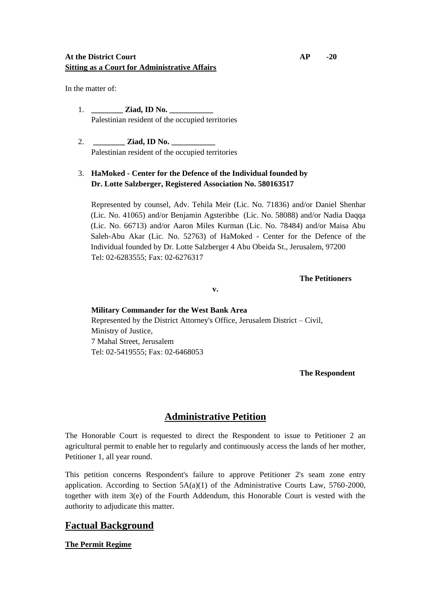### **At the District Court AP -20 Sitting as a Court for Administrative Affairs**

In the matter of:

- 1. **\_\_\_\_\_\_\_\_ Ziad, ID No. \_\_\_\_\_\_\_\_\_\_\_** Palestinian resident of the occupied territories
- 2. **Ziad, ID No.** Palestinian resident of the occupied territories

## 3. **HaMoked - Center for the Defence of the Individual founded by Dr. Lotte Salzberger, Registered Association No. 580163517**

 Represented by counsel, Adv. Tehila Meir (Lic. No. 71836) and/or Daniel Shenhar (Lic. No. 41065) and/or Benjamin Agsteribbe (Lic. No. 58088) and/or Nadia Daqqa (Lic. No. 66713) and/or Aaron Miles Kurman (Lic. No. 78484) and/or Maisa Abu Saleh-Abu Akar (Lic. No. 52763) of HaMoked - Center for the Defence of the Individual founded by Dr. Lotte Salzberger 4 Abu Obeida St., Jerusalem, 97200 Tel: 02-6283555; Fax: 02-6276317

**The Petitioners**

**v.**

## **Military Commander for the West Bank Area** Represented by the District Attorney's Office, Jerusalem District – Civil, Ministry of Justice, 7 Mahal Street, Jerusalem Tel: 02-5419555; Fax: 02-6468053

**The Respondent**

# **Administrative Petition**

The Honorable Court is requested to direct the Respondent to issue to Petitioner 2 an agricultural permit to enable her to regularly and continuously access the lands of her mother, Petitioner 1, all year round.

This petition concerns Respondent's failure to approve Petitioner 2's seam zone entry application. According to Section  $5A(a)(1)$  of the Administrative Courts Law, 5760-2000, together with item 3(e) of the Fourth Addendum, this Honorable Court is vested with the authority to adjudicate this matter.

## **Factual Background**

### **The Permit Regime**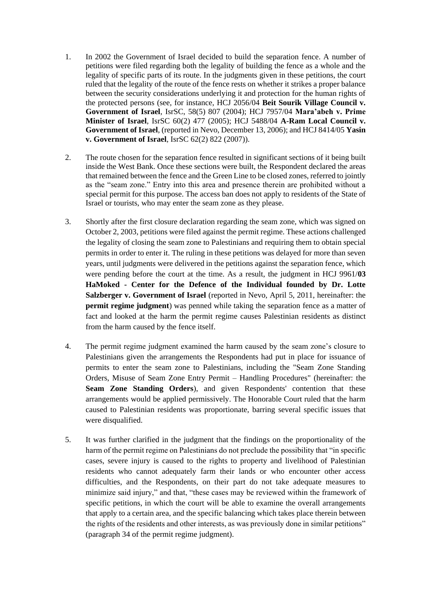- 1. In 2002 the Government of Israel decided to build the separation fence. A number of petitions were filed regarding both the legality of building the fence as a whole and the legality of specific parts of its route. In the judgments given in these petitions, the court ruled that the legality of the route of the fence rests on whether it strikes a proper balance between the security considerations underlying it and protection for the human rights of the protected persons (see, for instance, HCJ 2056/04 **Beit Sourik Village Council v. Government of Israel**, IsrSC, 58(5) 807 (2004); HCJ 7957/04 **Mara'abeh v. Prime Minister of Israel**, IsrSC 60(2) 477 (2005); HCJ 5488/04 **A-Ram Local Council v. Government of Israel**, (reported in Nevo, December 13, 2006); and HCJ 8414/05 **Yasin v. Government of Israel**, IsrSC 62(2) 822 (2007)).
- 2. The route chosen for the separation fence resulted in significant sections of it being built inside the West Bank. Once these sections were built, the Respondent declared the areas that remained between the fence and the Green Line to be closed zones, referred to jointly as the "seam zone." Entry into this area and presence therein are prohibited without a special permit for this purpose. The access ban does not apply to residents of the State of Israel or tourists, who may enter the seam zone as they please.
- 3. Shortly after the first closure declaration regarding the seam zone, which was signed on October 2, 2003, petitions were filed against the permit regime. These actions challenged the legality of closing the seam zone to Palestinians and requiring them to obtain special permits in order to enter it. The ruling in these petitions was delayed for more than seven years, until judgments were delivered in the petitions against the separation fence, which were pending before the court at the time. As a result, the judgment in HCJ 9961/**03 HaMoked - Center for the Defence of the Individual founded by Dr. Lotte Salzberger v. Government of Israel** (reported in Nevo, April 5, 2011, hereinafter: the **permit regime judgment**) was penned while taking the separation fence as a matter of fact and looked at the harm the permit regime causes Palestinian residents as distinct from the harm caused by the fence itself.
- 4. The permit regime judgment examined the harm caused by the seam zone's closure to Palestinians given the arrangements the Respondents had put in place for issuance of permits to enter the seam zone to Palestinians, including the "Seam Zone Standing Orders, Misuse of Seam Zone Entry Permit – Handling Procedures" (hereinafter: the **Seam Zone Standing Orders**), and given Respondents' contention that these arrangements would be applied permissively. The Honorable Court ruled that the harm caused to Palestinian residents was proportionate, barring several specific issues that were disqualified.
- 5. It was further clarified in the judgment that the findings on the proportionality of the harm of the permit regime on Palestinians do not preclude the possibility that "in specific cases, severe injury is caused to the rights to property and livelihood of Palestinian residents who cannot adequately farm their lands or who encounter other access difficulties, and the Respondents, on their part do not take adequate measures to minimize said injury," and that, "these cases may be reviewed within the framework of specific petitions, in which the court will be able to examine the overall arrangements that apply to a certain area, and the specific balancing which takes place therein between the rights of the residents and other interests, as was previously done in similar petitions" (paragraph 34 of the permit regime judgment).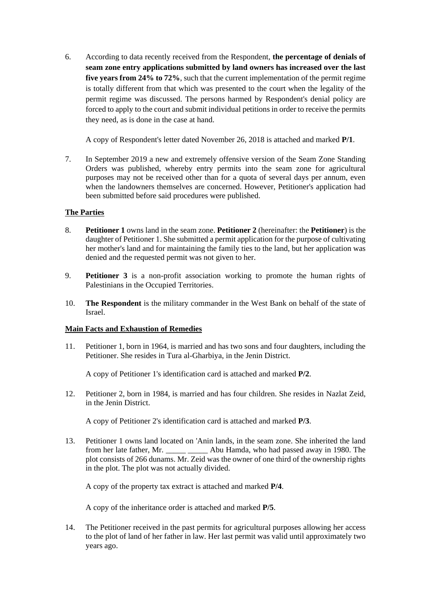6. According to data recently received from the Respondent, **the percentage of denials of seam zone entry applications submitted by land owners has increased over the last five years from 24% to 72%**, such that the current implementation of the permit regime is totally different from that which was presented to the court when the legality of the permit regime was discussed. The persons harmed by Respondent's denial policy are forced to apply to the court and submit individual petitions in order to receive the permits they need, as is done in the case at hand.

A copy of Respondent's letter dated November 26, 2018 is attached and marked **P/1**.

7. In September 2019 a new and extremely offensive version of the Seam Zone Standing Orders was published, whereby entry permits into the seam zone for agricultural purposes may not be received other than for a quota of several days per annum, even when the landowners themselves are concerned. However, Petitioner's application had been submitted before said procedures were published.

#### **The Parties**

- 8. **Petitioner 1** owns land in the seam zone. **Petitioner 2** (hereinafter: the **Petitioner**) is the daughter of Petitioner 1. She submitted a permit application for the purpose of cultivating her mother's land and for maintaining the family ties to the land, but her application was denied and the requested permit was not given to her.
- 9. **Petitioner 3** is a non-profit association working to promote the human rights of Palestinians in the Occupied Territories.
- 10. **The Respondent** is the military commander in the West Bank on behalf of the state of Israel.

#### **Main Facts and Exhaustion of Remedies**

11. Petitioner 1, born in 1964, is married and has two sons and four daughters, including the Petitioner. She resides in Tura al-Gharbiya, in the Jenin District.

A copy of Petitioner 1's identification card is attached and marked **P/2**.

12. Petitioner 2, born in 1984, is married and has four children. She resides in Nazlat Zeid, in the Jenin District.

A copy of Petitioner 2's identification card is attached and marked **P/3**.

13. Petitioner 1 owns land located on 'Anin lands, in the seam zone. She inherited the land from her late father, Mr. \_\_\_\_\_ \_\_\_\_\_ Abu Hamda, who had passed away in 1980. The plot consists of 266 dunams. Mr. Zeid was the owner of one third of the ownership rights in the plot. The plot was not actually divided.

A copy of the property tax extract is attached and marked **P/4**.

A copy of the inheritance order is attached and marked **P/5**.

14. The Petitioner received in the past permits for agricultural purposes allowing her access to the plot of land of her father in law. Her last permit was valid until approximately two years ago.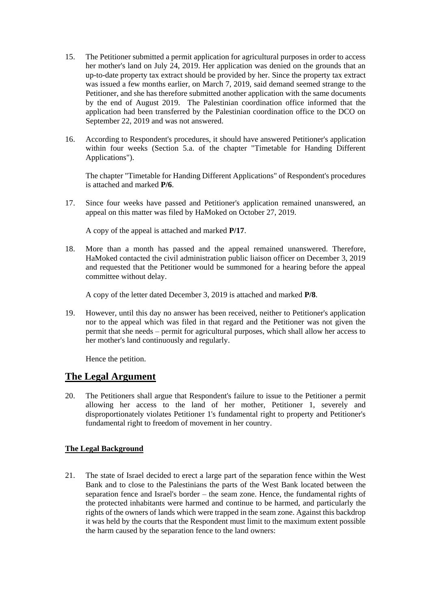- 15. The Petitioner submitted a permit application for agricultural purposes in order to access her mother's land on July 24, 2019. Her application was denied on the grounds that an up-to-date property tax extract should be provided by her. Since the property tax extract was issued a few months earlier, on March 7, 2019, said demand seemed strange to the Petitioner, and she has therefore submitted another application with the same documents by the end of August 2019. The Palestinian coordination office informed that the application had been transferred by the Palestinian coordination office to the DCO on September 22, 2019 and was not answered.
- 16. According to Respondent's procedures, it should have answered Petitioner's application within four weeks (Section 5.a. of the chapter "Timetable for Handing Different Applications").

The chapter "Timetable for Handing Different Applications" of Respondent's procedures is attached and marked **P/6**.

17. Since four weeks have passed and Petitioner's application remained unanswered, an appeal on this matter was filed by HaMoked on October 27, 2019.

A copy of the appeal is attached and marked **P/17**.

18. More than a month has passed and the appeal remained unanswered. Therefore, HaMoked contacted the civil administration public liaison officer on December 3, 2019 and requested that the Petitioner would be summoned for a hearing before the appeal committee without delay.

A copy of the letter dated December 3, 2019 is attached and marked **P/8**.

19. However, until this day no answer has been received, neither to Petitioner's application nor to the appeal which was filed in that regard and the Petitioner was not given the permit that she needs – permit for agricultural purposes, which shall allow her access to her mother's land continuously and regularly.

Hence the petition.

## **The Legal Argument**

20. The Petitioners shall argue that Respondent's failure to issue to the Petitioner a permit allowing her access to the land of her mother, Petitioner 1, severely and disproportionately violates Petitioner 1's fundamental right to property and Petitioner's fundamental right to freedom of movement in her country.

### **The Legal Background**

21. The state of Israel decided to erect a large part of the separation fence within the West Bank and to close to the Palestinians the parts of the West Bank located between the separation fence and Israel's border – the seam zone. Hence, the fundamental rights of the protected inhabitants were harmed and continue to be harmed, and particularly the rights of the owners of lands which were trapped in the seam zone. Against this backdrop it was held by the courts that the Respondent must limit to the maximum extent possible the harm caused by the separation fence to the land owners: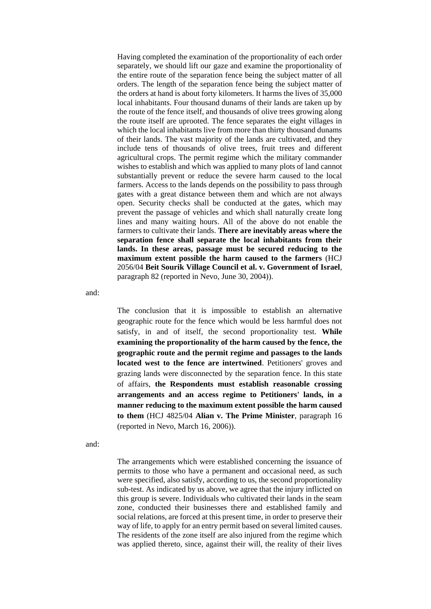Having completed the examination of the proportionality of each order separately, we should lift our gaze and examine the proportionality of the entire route of the separation fence being the subject matter of all orders. The length of the separation fence being the subject matter of the orders at hand is about forty kilometers. It harms the lives of 35,000 local inhabitants. Four thousand dunams of their lands are taken up by the route of the fence itself, and thousands of olive trees growing along the route itself are uprooted. The fence separates the eight villages in which the local inhabitants live from more than thirty thousand dunams of their lands. The vast majority of the lands are cultivated, and they include tens of thousands of olive trees, fruit trees and different agricultural crops. The permit regime which the military commander wishes to establish and which was applied to many plots of land cannot substantially prevent or reduce the severe harm caused to the local farmers. Access to the lands depends on the possibility to pass through gates with a great distance between them and which are not always open. Security checks shall be conducted at the gates, which may prevent the passage of vehicles and which shall naturally create long lines and many waiting hours. All of the above do not enable the farmers to cultivate their lands. **There are inevitably areas where the separation fence shall separate the local inhabitants from their lands. In these areas, passage must be secured reducing to the maximum extent possible the harm caused to the farmers** (HCJ 2056/04 **Beit Sourik Village Council et al. v. Government of Israel**, paragraph 82 (reported in Nevo, June 30, 2004)).

and:

The conclusion that it is impossible to establish an alternative geographic route for the fence which would be less harmful does not satisfy, in and of itself, the second proportionality test. **While examining the proportionality of the harm caused by the fence, the geographic route and the permit regime and passages to the lands located west to the fence are intertwined**. Petitioners' groves and grazing lands were disconnected by the separation fence. In this state of affairs, **the Respondents must establish reasonable crossing arrangements and an access regime to Petitioners' lands, in a manner reducing to the maximum extent possible the harm caused to them** (HCJ 4825/04 **Alian v. The Prime Minister**, paragraph 16 (reported in Nevo, March 16, 2006)).

and:

The arrangements which were established concerning the issuance of permits to those who have a permanent and occasional need, as such were specified, also satisfy, according to us, the second proportionality sub-test. As indicated by us above, we agree that the injury inflicted on this group is severe. Individuals who cultivated their lands in the seam zone, conducted their businesses there and established family and social relations, are forced at this present time, in order to preserve their way of life, to apply for an entry permit based on several limited causes. The residents of the zone itself are also injured from the regime which was applied thereto, since, against their will, the reality of their lives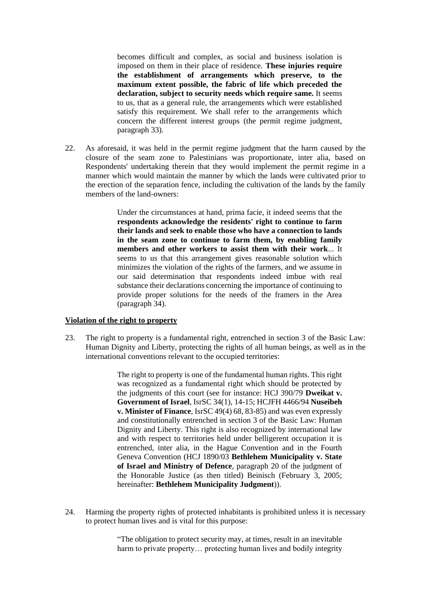becomes difficult and complex, as social and business isolation is imposed on them in their place of residence. **These injuries require the establishment of arrangements which preserve, to the maximum extent possible, the fabric of life which preceded the declaration, subject to security needs which require same.** It seems to us, that as a general rule, the arrangements which were established satisfy this requirement. We shall refer to the arrangements which concern the different interest groups (the permit regime judgment, paragraph 33).

22. As aforesaid, it was held in the permit regime judgment that the harm caused by the closure of the seam zone to Palestinians was proportionate, inter alia, based on Respondents' undertaking therein that they would implement the permit regime in a manner which would maintain the manner by which the lands were cultivated prior to the erection of the separation fence, including the cultivation of the lands by the family members of the land-owners:

> Under the circumstances at hand, prima facie, it indeed seems that the **respondents acknowledge the residents' right to continue to farm their lands and seek to enable those who have a connection to lands in the seam zone to continue to farm them, by enabling family members and other workers to assist them with their work**... It seems to us that this arrangement gives reasonable solution which minimizes the violation of the rights of the farmers, and we assume in our said determination that respondents indeed imbue with real substance their declarations concerning the importance of continuing to provide proper solutions for the needs of the framers in the Area (paragraph 34).

#### **Violation of the right to property**

23. The right to property is a fundamental right, entrenched in section 3 of the Basic Law: Human Dignity and Liberty, protecting the rights of all human beings, as well as in the international conventions relevant to the occupied territories:

> The right to property is one of the fundamental human rights. This right was recognized as a fundamental right which should be protected by the judgments of this court (see for instance: HCJ 390/79 **Dweikat v. Government of Israel**, IsrSC 34(1), 14-15; HCJFH 4466/94 **Nuseibeh v. Minister of Finance**, IsrSC 49(4) 68, 83-85) and was even expressly and constitutionally entrenched in section 3 of the Basic Law: Human Dignity and Liberty. This right is also recognized by international law and with respect to territories held under belligerent occupation it is entrenched, inter alia, in the Hague Convention and in the Fourth Geneva Convention (HCJ 1890/03 **Bethlehem Municipality v. State of Israel and Ministry of Defence**, paragraph 20 of the judgment of the Honorable Justice (as then titled) Beinisch (February 3, 2005; hereinafter: **Bethlehem Municipality Judgment**)).

24. Harming the property rights of protected inhabitants is prohibited unless it is necessary to protect human lives and is vital for this purpose:

> "The obligation to protect security may, at times, result in an inevitable harm to private property... protecting human lives and bodily integrity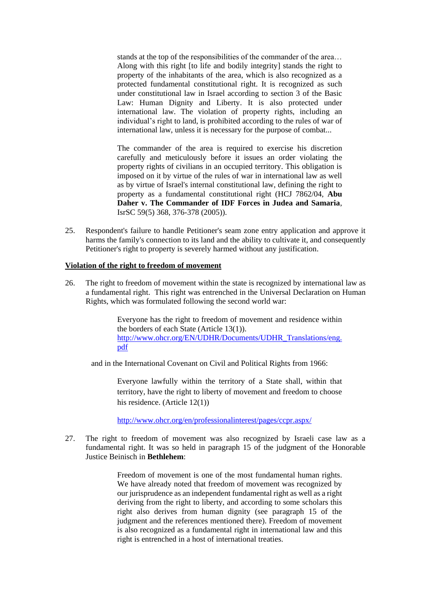stands at the top of the responsibilities of the commander of the area… Along with this right [to life and bodily integrity] stands the right to property of the inhabitants of the area, which is also recognized as a protected fundamental constitutional right. It is recognized as such under constitutional law in Israel according to section 3 of the Basic Law: Human Dignity and Liberty. It is also protected under international law. The violation of property rights, including an individual's right to land, is prohibited according to the rules of war of international law, unless it is necessary for the purpose of combat...

The commander of the area is required to exercise his discretion carefully and meticulously before it issues an order violating the property rights of civilians in an occupied territory. This obligation is imposed on it by virtue of the rules of war in international law as well as by virtue of Israel's internal constitutional law, defining the right to property as a fundamental constitutional right (HCJ 7862/04, **Abu Daher v. The Commander of IDF Forces in Judea and Samaria**, IsrSC 59(5) 368, 376-378 (2005)).

25. Respondent's failure to handle Petitioner's seam zone entry application and approve it harms the family's connection to its land and the ability to cultivate it, and consequently Petitioner's right to property is severely harmed without any justification.

#### **Violation of the right to freedom of movement**

26. The right to freedom of movement within the state is recognized by international law as a fundamental right. This right was entrenched in the Universal Declaration on Human Rights, which was formulated following the second world war:

> Everyone has the right to freedom of movement and residence within the borders of each State (Article 13(1)). [http://www.ohcr.org/EN/UDHR/Documents/UDHR\\_Translations/eng.](http://www.ohcr.org/EN/UDHR/Documents/UDHR_Translations/eng.pdf) [pdf](http://www.ohcr.org/EN/UDHR/Documents/UDHR_Translations/eng.pdf)

and in the International Covenant on Civil and Political Rights from 1966:

Everyone lawfully within the territory of a State shall, within that territory, have the right to liberty of movement and freedom to choose his residence. (Article 12(1))

<http://www.ohcr.org/en/professionalinterest/pages/ccpr.aspx/>

27. The right to freedom of movement was also recognized by Israeli case law as a fundamental right. It was so held in paragraph 15 of the judgment of the Honorable Justice Beinisch in **Bethlehem**:

> Freedom of movement is one of the most fundamental human rights. We have already noted that freedom of movement was recognized by our jurisprudence as an independent fundamental right as well as a right deriving from the right to liberty, and according to some scholars this right also derives from human dignity (see paragraph 15 of the judgment and the references mentioned there). Freedom of movement is also recognized as a fundamental right in international law and this right is entrenched in a host of international treaties.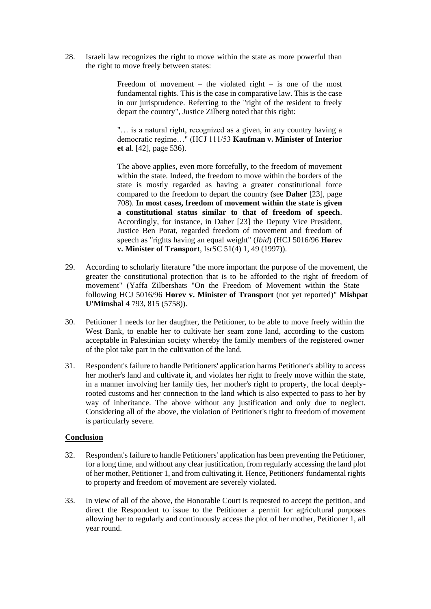28. Israeli law recognizes the right to move within the state as more powerful than the right to move freely between states:

> Freedom of movement – the violated right – is one of the most fundamental rights. This is the case in comparative law. This is the case in our jurisprudence. Referring to the "right of the resident to freely depart the country", Justice Zilberg noted that this right:

> "… is a natural right, recognized as a given, in any country having a democratic regime…" (HCJ 111/53 **Kaufman v. Minister of Interior et al**. [42], page 536).

> The above applies, even more forcefully, to the freedom of movement within the state. Indeed, the freedom to move within the borders of the state is mostly regarded as having a greater constitutional force compared to the freedom to depart the country (see **Daher** [23], page 708). **In most cases, freedom of movement within the state is given a constitutional status similar to that of freedom of speech**. Accordingly, for instance, in Daher [23] the Deputy Vice President, Justice Ben Porat, regarded freedom of movement and freedom of speech as "rights having an equal weight" (*Ibid*) (HCJ 5016/96 **Horev v. Minister of Transport**, IsrSC 51(4) 1, 49 (1997)).

- 29. According to scholarly literature "the more important the purpose of the movement, the greater the constitutional protection that is to be afforded to the right of freedom of movement" (Yaffa Zilbershats "On the Freedom of Movement within the State – following HCJ 5016/96 **Horev v. Minister of Transport** (not yet reported)" **Mishpat U'Mimshal** 4 793, 815 (5758)).
- 30. Petitioner 1 needs for her daughter, the Petitioner, to be able to move freely within the West Bank, to enable her to cultivate her seam zone land, according to the custom acceptable in Palestinian society whereby the family members of the registered owner of the plot take part in the cultivation of the land.
- 31. Respondent's failure to handle Petitioners' application harms Petitioner's ability to access her mother's land and cultivate it, and violates her right to freely move within the state, in a manner involving her family ties, her mother's right to property, the local deeplyrooted customs and her connection to the land which is also expected to pass to her by way of inheritance. The above without any justification and only due to neglect. Considering all of the above, the violation of Petitioner's right to freedom of movement is particularly severe.

#### **Conclusion**

- 32. Respondent's failure to handle Petitioners' application has been preventing the Petitioner, for a long time, and without any clear justification, from regularly accessing the land plot of her mother, Petitioner 1, and from cultivating it. Hence, Petitioners' fundamental rights to property and freedom of movement are severely violated.
- 33. In view of all of the above, the Honorable Court is requested to accept the petition, and direct the Respondent to issue to the Petitioner a permit for agricultural purposes allowing her to regularly and continuously access the plot of her mother, Petitioner 1, all year round.